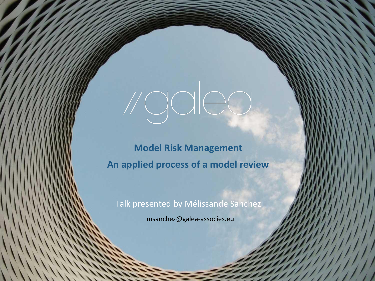**Model Risk Management An applied process of a model review**

vgalea

Talk presented by Mélissande Sanchez

msanchez@galea-associes.eu

 $\mathcal{L}(\mathcal{M})$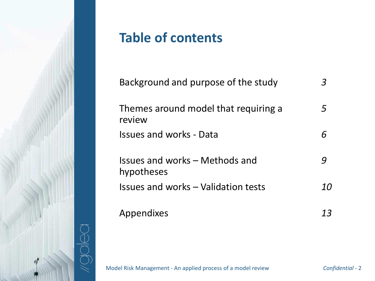

## **Table of contents**

| Background and purpose of the study            |    |
|------------------------------------------------|----|
| Themes around model that requiring a<br>review | 5  |
| <b>Issues and works - Data</b>                 |    |
| Issues and works – Methods and<br>hypotheses   |    |
| Issues and works - Validation tests            | 1Ο |
| Appendixes                                     | 13 |

Model Risk Management - An applied process of a model review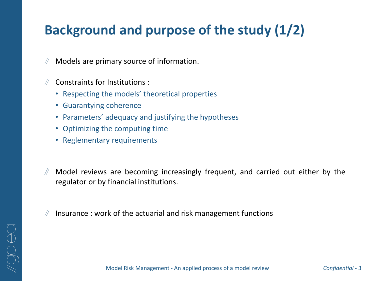## **Background and purpose of the study (1/2)**

- Models are primary source of information.
- Constraints for Institutions :
	- Respecting the models' theoretical properties
	- Guarantying coherence

OOIO

- Parameters' adequacy and justifying the hypotheses
- Optimizing the computing time
- Reglementary requirements
- $\mathbb{N}$ Model reviews are becoming increasingly frequent, and carried out either by the regulator or by financial institutions.
- Insurance : work of the actuarial and risk management functions

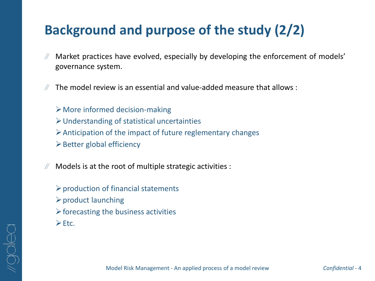### **Background and purpose of the study (2/2)**

- Market practices have evolved, especially by developing the enforcement of models' governance system.
- The model review is an essential and value-added measure that allows :
	- ➢More informed decision-making
	- ➢Understanding of statistical uncertainties
	- $\triangleright$  Anticipation of the impact of future reglementary changes
	- $\triangleright$  Better global efficiency
- Models is at the root of multiple strategic activities :
	- $\triangleright$  production of financial statements ➢product launching  $\triangleright$  forecasting the business activities ➢Etc.

Model Risk Management - An applied process of a model review

*Confidential* - 4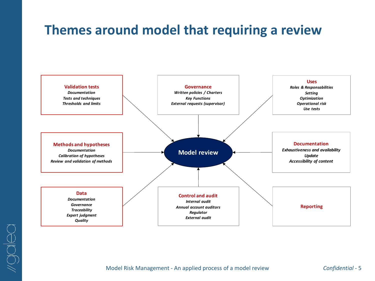### **Themes around model that requiring a review**



Model Risk Management - An applied process of a model review

*Confidential* - 5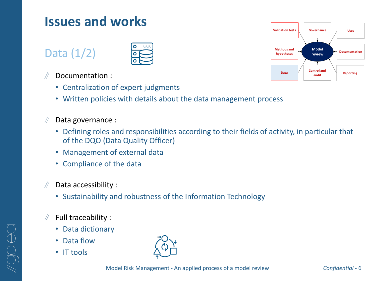### Data (1/2)



- Documentation :
	- Centralization of expert judgments
	- Written policies with details about the data management process
- Data governance :
- Defining roles and responsibilities according to their fields of activity, in particular that of the DQO (Data Quality Officer) **EXECUTE:**<br> **EXECUTE:**<br> **EXECUTE:**<br> **EXECUTE:**<br> **EXECUTE:**<br> **CONCIDENTATION:**<br> **CONCIDENT**<br> **COVER**<br> **COVERTY:**<br> **COVERTY:**<br> **COVERTY:**<br> **COVERTY:**<br> **COVERTY:**<br> **COVERTY:**<br> **COVERTY:**<br> **COVERTY:**<br> **COVERTY:**<br> **COVERTY:**<br>
	- Management of external data
	- Compliance of the data
- Data accessibility :
	- Sustainability and robustness of the Information Technology
- $\mathbb N$  Full traceability :
	- Data dictionary
	- Data flow
	-



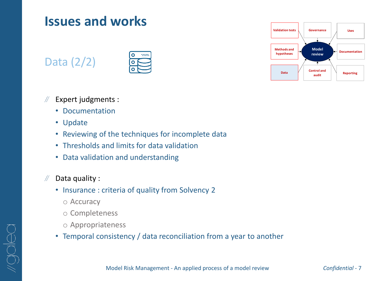### Data (2/2)



- $\mathcal{H}$ Expert judgments :
	- Documentation
	- Update
	- Reviewing of the techniques for incomplete data
	- Thresholds and limits for data validation
	- Data validation and understanding

#### $\mathbb{N}$ Data quality :

- Insurance : criteria of quality from Solvency 2
	- o Accuracy
	- o Completeness
	- o Appropriateness
- Temporal consistency / data reconciliation from a year to another

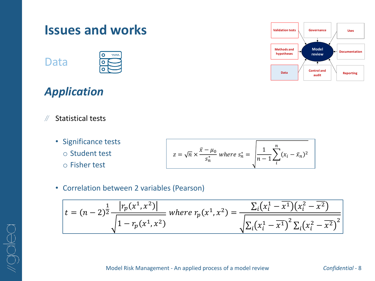

Data

OOICO



### *Application*

- $\sqrt{2}$ Statistical tests
	- Significance tests
		- o Student test
		- o Fisher test

$$
z = \sqrt{n} \times \frac{\bar{x} - \mu_0}{s_n^*} \text{ where } s_n^* = \sqrt{\frac{1}{n-1} \sum_{i}^{n} (x_i - \bar{x}_n)^2}
$$

• Correlation between 2 variables (Pearson)

$$
t = (n-2)^{\frac{1}{2}} \frac{|r_p(x^1, x^2)|}{\sqrt{1 - r_p(x^1, x^2)}}
$$
 where  $r_p(x^1, x^2) = \frac{\sum_i (x_i^1 - \overline{x^1})(x_i^2 - \overline{x^2})}{\sqrt{\sum_i (x_i^1 - \overline{x^1})^2 \sum_i (x_i^2 - \overline{x^2})^2}}$ 

**Model bcumentation** 

**Reporting**

**Uses**

**review**

**audit**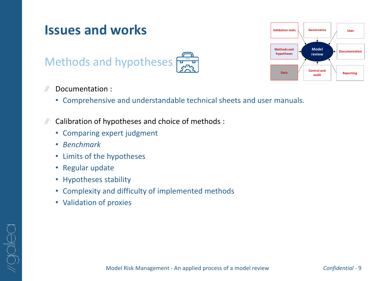# **Issues and works** Methods and hypotheses



#### $\sqrt{2}$ Documentation :

- Comprehensive and understandable technical sheets and user manuals.
- Calibration of hypotheses and choice of methods :
	- Comparing expert judgment
	- *Benchmark*

OOIOO

- Limits of the hypotheses
- Regular update
- Hypotheses stability
- Complexity and difficulty of implemented methods
- Validation of proxies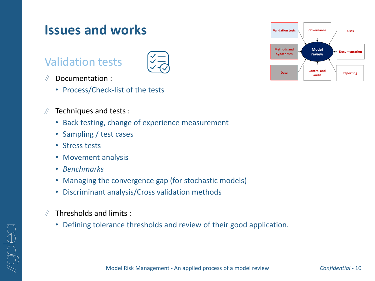### Validation tests



- Documentation :  $\mathcal{U}$ 
	- Process/Check-list of the tests
- $\mathbb{N}$ Techniques and tests :
	- Back testing, change of experience measurement
	- Sampling / test cases
	- Stress tests
	- Movement analysis
	- *Benchmarks*
	- Managing the convergence gap (for stochastic models)
	- Discriminant analysis/Cross validation methods
- Thresholds and limits :  $\mathcal{U}$ 
	- Defining tolerance thresholds and review of their good application.

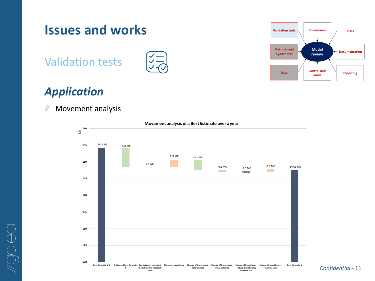

**Interest rate**

**Financial costs**

**N**

**chash flow and real cash flow**

### *Application*

 $\mathbb{N}$ Movement analysis

 $\frac{\omega}{\geq}$  **160** 

Validation tests

**Issues and works**



### **Movement analysis of a Best Estimate over a year**

-Best Estimate N-1 Estimated Best Estimate Gap between estimated Change of experience Change Of hypotheses - Change of hypotheses - Change of hypotheses - Change of hypotheses - Ghange of experies - Best Estimate is device *Confidential* - 11 **Future discretionary benefits rate Technical costs**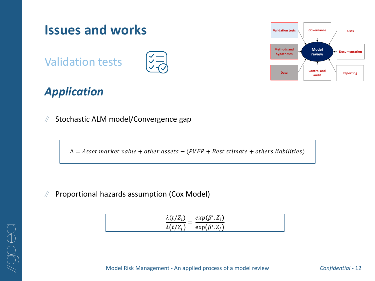

### *Application*

Stochastic ALM model/Convergence gap  $\mathbb{N}$ 

 $\Delta$  = Asset market value + other assets – (PVFP + Best stimate + others liabilities)

 $\mathbb N$ Proportional hazards assumption (Cox Model)

| $\lambda(t/Z_i)$ | $exp(\beta'.Z_i)$   |
|------------------|---------------------|
| $\lambda(t/Z_i)$ | $\exp(\beta', Z_i)$ |

Model Risk Management - An applied process of a model review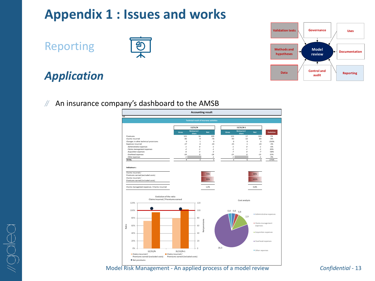### **Appendix 1 : Issues and works**

Reporting



### *Application*

 $\sqrt{2}$ An insurance company's dashboard to the AMSB



Model Risk Management - An applied process of a model review

**Governance Documentation Model review Validation tests Reporting Control and audit Methods and hypotheses Data Uses**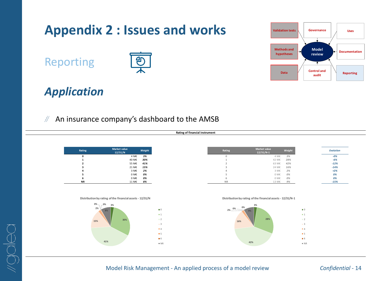

*Confidential* - 14

Reporting



**Appendix 2 : Issues and works**

### *Application*

OOIO

#### $\mathcal{H}$ An insurance company's dashboard to the AMSB